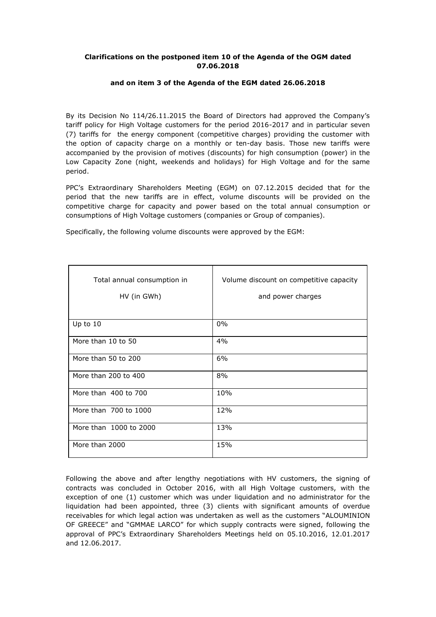## **Clarifications on the postponed item 10 of the Agenda of the OGM dated 07.06.2018**

## **and on item 3 of the Agenda of the EGM dated 26.06.2018**

By its Decision No 114/26.11.2015 the Board of Directors had approved the Company's tariff policy for High Voltage customers for the period 2016-2017 and in particular seven (7) tariffs for the energy component (competitive charges) providing the customer with the option of capacity charge on a monthly or ten-day basis. Those new tariffs were accompanied by the provision of motives (discounts) for high consumption (power) in the Low Capacity Zone (night, weekends and holidays) for High Voltage and for the same period.

PPC's Extraordinary Shareholders Meeting (EGM) on 07.12.2015 decided that for the period that the new tariffs are in effect, volume discounts will be provided on the competitive charge for capacity and power based on the total annual consumption or consumptions of High Voltage customers (companies or Group of companies).

| Total annual consumption in<br>HV (in GWh) | Volume discount on competitive capacity<br>and power charges |
|--------------------------------------------|--------------------------------------------------------------|
| Up to 10                                   | $0\%$                                                        |
| More than 10 to 50                         | 4%                                                           |
| More than 50 to 200                        | 6%                                                           |
| More than 200 to 400                       | 8%                                                           |
| More than 400 to 700                       | 10%                                                          |
| More than 700 to 1000                      | 12%                                                          |
| More than 1000 to 2000                     | 13%                                                          |
| More than 2000                             | 15%                                                          |

Specifically, the following volume discounts were approved by the EGM:

Following the above and after lengthy negotiations with HV customers, the signing of contracts was concluded in October 2016, with all High Voltage customers, with the exception of one (1) customer which was under liquidation and no administrator for the liquidation had been appointed, three (3) clients with significant amounts of overdue receivables for which legal action was undertaken as well as the customers "ALOUMINION OF GREECE" and "GMMAE LARCO" for which supply contracts were signed, following the approval of PPC's Extraordinary Shareholders Meetings held on 05.10.2016, 12.01.2017 and 12.06.2017.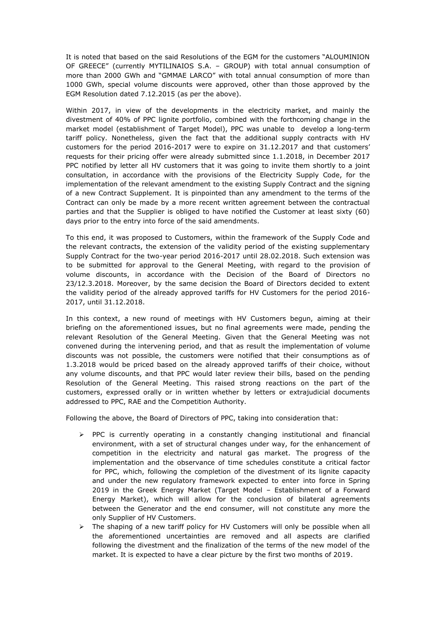It is noted that based on the said Resolutions of the EGM for the customers "ALOUMINION OF GREECE" (currently MYTILINAIOS S.A. – GROUP) with total annual consumption of more than 2000 GWh and "GMMAE LARCO" with total annual consumption of more than 1000 GWh, special volume discounts were approved, other than those approved by the EGM Resolution dated 7.12.2015 (as per the above).

Within 2017, in view of the developments in the electricity market, and mainly the divestment of 40% of PPC lignite portfolio, combined with the forthcoming change in the market model (establishment of Target Model), PPC was unable to develop a long-term tariff policy. Nonetheless, given the fact that the additional supply contracts with HV customers for the period 2016-2017 were to expire on 31.12.2017 and that customers' requests for their pricing offer were already submitted since 1.1.2018, in December 2017 PPC notified by letter all HV customers that it was going to invite them shortly to a joint consultation, in accordance with the provisions of the Electricity Supply Code, for the implementation of the relevant amendment to the existing Supply Contract and the signing of a new Contract Supplement. It is pinpointed than any amendment to the terms of the Contract can only be made by a more recent written agreement between the contractual parties and that the Supplier is obliged to have notified the Customer at least sixty (60) days prior to the entry into force of the said amendments.

To this end, it was proposed to Customers, within the framework of the Supply Code and the relevant contracts, the extension of the validity period of the existing supplementary Supply Contract for the two-year period 2016-2017 until 28.02.2018. Such extension was to be submitted for approval to the General Meeting, with regard to the provision of volume discounts, in accordance with the Decision of the Board of Directors no 23/12.3.2018. Moreover, by the same decision the Board of Directors decided to extent the validity period of the already approved tariffs for HV Customers for the period 2016- 2017, until 31.12.2018.

In this context, a new round of meetings with HV Customers begun, aiming at their briefing on the aforementioned issues, but no final agreements were made, pending the relevant Resolution of the General Meeting. Given that the General Meeting was not convened during the intervening period, and that as result the implementation of volume discounts was not possible, the customers were notified that their consumptions as of 1.3.2018 would be priced based on the already approved tariffs of their choice, without any volume discounts, and that PPC would later review their bills, based on the pending Resolution of the General Meeting. This raised strong reactions on the part of the customers, expressed orally or in written whether by letters or extrajudicial documents addressed to PPC, RAE and the Competition Authority.

Following the above, the Board of Directors of PPC, taking into consideration that:

- $\triangleright$  PPC is currently operating in a constantly changing institutional and financial environment, with a set of structural changes under way, for the enhancement of competition in the electricity and natural gas market. The progress of the implementation and the observance of time schedules constitute a critical factor for PPC, which, following the completion of the divestment of its lignite capacity and under the new regulatory framework expected to enter into force in Spring 2019 in the Greek Energy Market (Target Model – Establishment of a Forward Energy Market), which will allow for the conclusion of bilateral agreements between the Generator and the end consumer, will not constitute any more the only Supplier of HV Customers.
- $\triangleright$  The shaping of a new tariff policy for HV Customers will only be possible when all the aforementioned uncertainties are removed and all aspects are clarified following the divestment and the finalization of the terms of the new model of the market. It is expected to have a clear picture by the first two months of 2019.